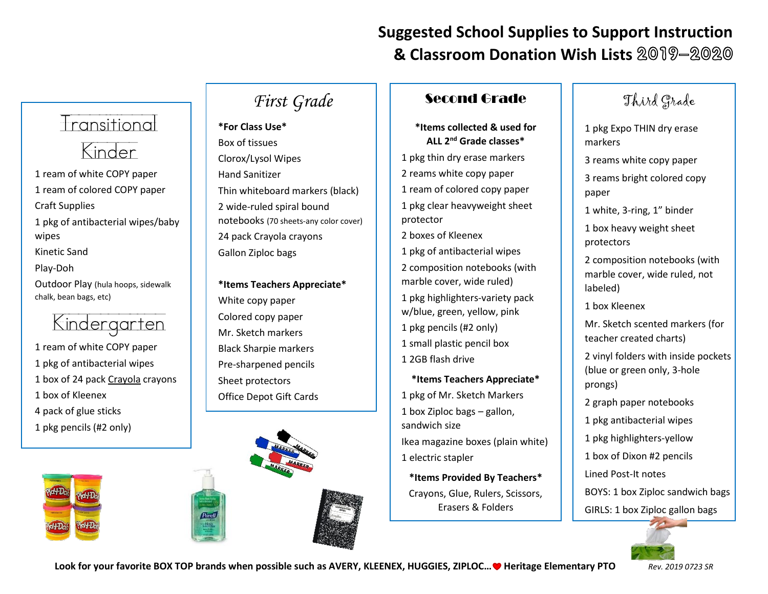## **Suggested School Supplies to Support Instruction & Classroom Donation Wish Lists** 2019-2020

# Transitional Kinder

1 ream of white COPY paper 1 ream of colored COPY paper Craft Supplies 1 pkg of antibacterial wipes/baby wipes Kinetic Sand Play-Doh Outdoor Play (hula hoops, sidewalk

Kindergarten

- 1 ream of white COPY paper 1 pkg of antibacterial wipes 1 box of 24 pack Crayola crayons 1 box of Kleenex 4 pack of glue sticks
- 1 pkg pencils (#2 only)

chalk, bean bags, etc)





# *First Grade*

**\*For Class Use\*** Box of tissues Clorox/Lysol Wipes Hand Sanitizer Thin whiteboard markers (black) 2 wide-ruled spiral bound notebooks (70 sheets-any color cover) 24 pack Crayola crayons Gallon Ziploc bags

**\*Items Teachers Appreciate\*** White copy paper Colored copy paper Mr. Sketch markers Black Sharpie markers Pre-sharpened pencils Sheet protectors Office Depot Gift Cards



### Second Grade

#### **\*Items collected & used for ALL 2nd Grade classes\***

1 pkg thin dry erase markers 2 reams white copy paper 1 ream of colored copy paper 1 pkg clear heavyweight sheet protector 2 boxes of Kleenex

1 pkg of antibacterial wipes 2 composition notebooks (with marble cover, wide ruled)

1 pkg highlighters-variety pack w/blue, green, yellow, pink 1 pkg pencils (#2 only) 1 small plastic pencil box

1 2GB flash drive

**\*Items Teachers Appreciate\*** 1 pkg of Mr. Sketch Markers 1 box Ziploc bags – gallon, sandwich size Ikea magazine boxes (plain white) 1 electric stapler

**\*Items Provided By Teachers\*** Crayons, Glue, Rulers, Scissors, Erasers & Folders

## Third Grade

1 pkg Expo THIN dry erase markers

3 reams white copy paper

3 reams bright colored copy paper

1 white, 3-ring, 1" binder

1 box heavy weight sheet protectors

2 composition notebooks (with marble cover, wide ruled, not labeled)

1 box Kleenex

Mr. Sketch scented markers (for teacher created charts)

2 vinyl folders with inside pockets (blue or green only, 3-hole prongs)

2 graph paper notebooks

1 pkg antibacterial wipes

1 pkg highlighters-yellow

1 box of Dixon #2 pencils

Lined Post-It notes

BOYS: 1 box Ziploc sandwich bags

GIRLS: 1 box Ziploc gallon bags



**Look for your favorite BOX TOP brands when possible such as AVERY, KLEENEX, HUGGIES, ZIPLOC… Heritage Elementary PTO** *Rev. 2019 0723 SR*